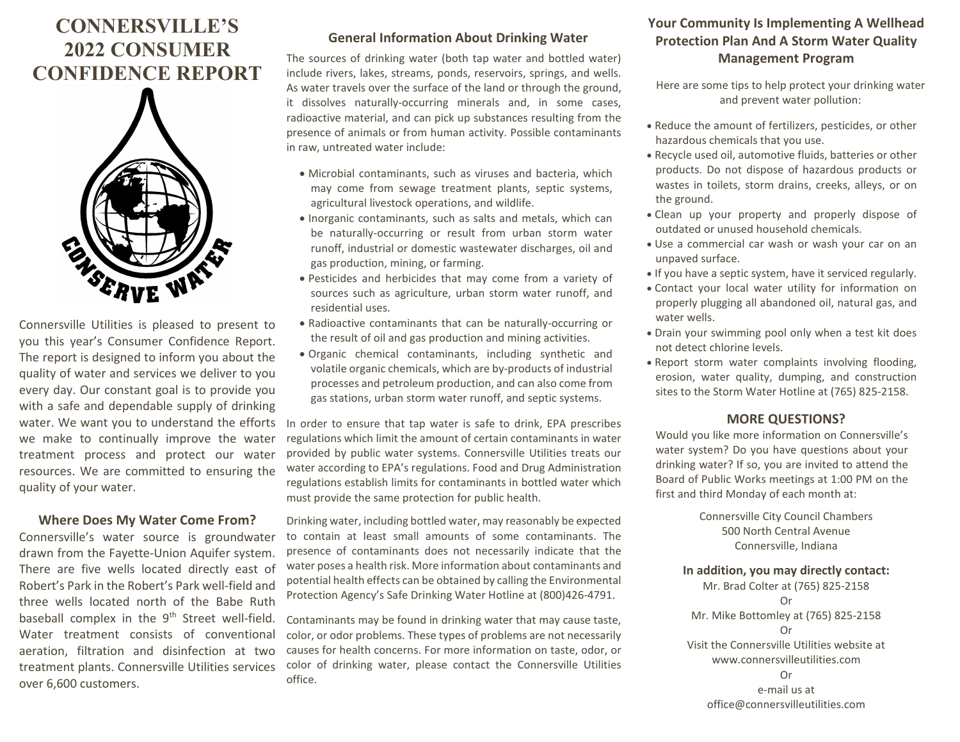# **CONNERSVILLE'S 2022 CONSUMER CONFIDENCE REPORT**



Connersville Utilities is pleased to present to you this year's Consumer Confidence Report. The report is designed to inform you about the quality of water and services we deliver to you every day. Our constant goal is to provide you with a safe and dependable supply of drinking water. We want you to understand the efforts we make to continually improve the water treatment process and protect our water resources. We are committed to ensuring the quality of your water.

#### **Where Does My Water Come From?**

Connersville's water source is groundwater drawn from the Fayette-Union Aquifer system. There are five wells located directly east of Robert's Park in the Robert's Park well-field and three wells located north of the Babe Ruth baseball complex in the 9<sup>th</sup> Street well-field. Water treatment consists of conventional aeration, filtration and disinfection at two treatment plants. Connersville Utilities services over 6,600 customers.

## **General Information About Drinking Water**

The sources of drinking water (both tap water and bottled water) include rivers, lakes, streams, ponds, reservoirs, springs, and wells. As water travels over the surface of the land or through the ground, it dissolves naturally-occurring minerals and, in some cases, radioactive material, and can pick up substances resulting from the presence of animals or from human activity. Possible contaminants in raw, untreated water include:

- Microbial contaminants, such as viruses and bacteria, which may come from sewage treatment plants, septic systems, agricultural livestock operations, and wildlife.
- Inorganic contaminants, such as salts and metals, which can be naturally-occurring or result from urban storm water runoff, industrial or domestic wastewater discharges, oil and gas production, mining, or farming.
- Pesticides and herbicides that may come from a variety of sources such as agriculture, urban storm water runoff, and residential uses.
- Radioactive contaminants that can be naturally-occurring or the result of oil and gas production and mining activities.
- Organic chemical contaminants, including synthetic and volatile organic chemicals, which are by-products of industrial processes and petroleum production, and can also come from gas stations, urban storm water runoff, and septic systems.

In order to ensure that tap water is safe to drink, EPA prescribes regulations which limit the amount of certain contaminants in water provided by public water systems. Connersville Utilities treats our water according to EPA's regulations. Food and Drug Administration regulations establish limits for contaminants in bottled water which must provide the same protection for public health.

Drinking water, including bottled water, may reasonably be expected to contain at least small amounts of some contaminants. The presence of contaminants does not necessarily indicate that the water poses a health risk. More information about contaminants and potential health effects can be obtained by calling the Environmental Protection Agency's Safe Drinking Water Hotline at (800)426-4791.

Contaminants may be found in drinking water that may cause taste, color, or odor problems. These types of problems are not necessarily causes for health concerns. For more information on taste, odor, or color of drinking water, please contact the Connersville Utilities office.

# **Your Community Is Implementing A Wellhead Protection Plan And A Storm Water Quality Management Program**

Here are some tips to help protect your drinking water and prevent water pollution:

- Reduce the amount of fertilizers, pesticides, or other hazardous chemicals that you use.
- Recycle used oil, automotive fluids, batteries or other products. Do not dispose of hazardous products or wastes in toilets, storm drains, creeks, alleys, or on the ground.
- Clean up your property and properly dispose of outdated or unused household chemicals.
- Use a commercial car wash or wash your car on an unpaved surface.
- If you have a septic system, have it serviced regularly.
- Contact your local water utility for information on properly plugging all abandoned oil, natural gas, and water wells.
- Drain your swimming pool only when a test kit does not detect chlorine levels.
- Report storm water complaints involving flooding, erosion, water quality, dumping, and construction sites to the Storm Water Hotline at (765) 825-2158.

#### **MORE QUESTIONS?**

Would you like more information on Connersville's water system? Do you have questions about your drinking water? If so, you are invited to attend the Board of Public Works meetings at 1:00 PM on the first and third Monday of each month at:

> Connersville City Council Chambers 500 North Central Avenue Connersville, Indiana

### **In addition, you may directly contact:**

Mr. Brad Colter at (765) 825-2158 Or Mr. Mike Bottomley at (765) 825-2158 Or Visit the Connersville Utilities website at www.connersvilleutilities.com Or e-mail us at office@connersvilleutilities.com